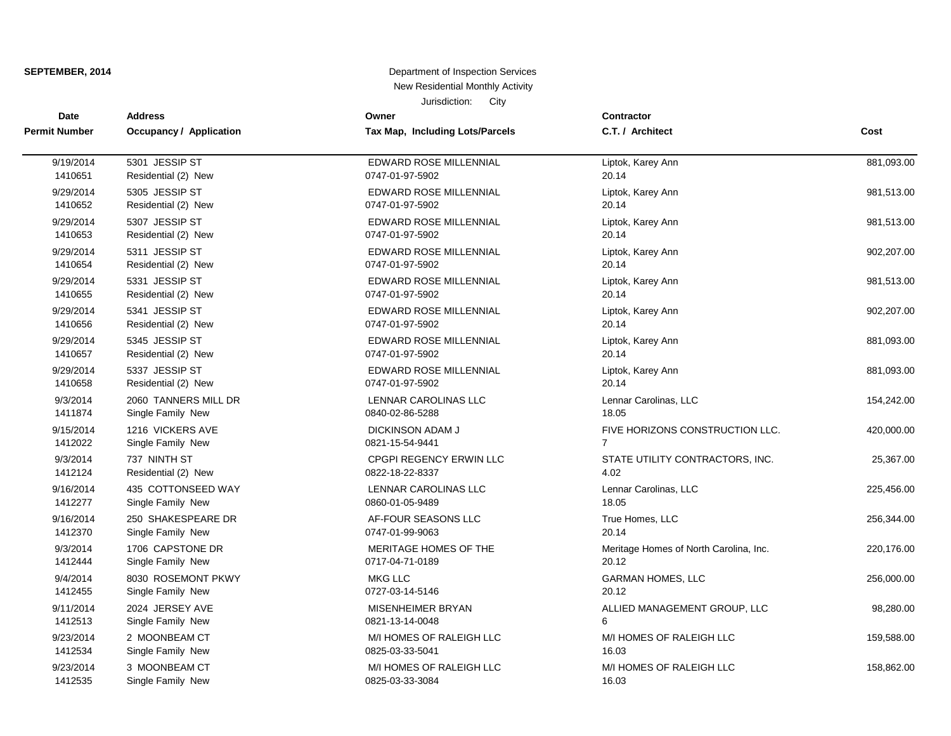| <b>Date</b>          | <b>Address</b>          | Owner                           | <b>Contractor</b>                      |            |
|----------------------|-------------------------|---------------------------------|----------------------------------------|------------|
| <b>Permit Number</b> | Occupancy / Application | Tax Map, Including Lots/Parcels | C.T. / Architect                       | Cost       |
| 9/19/2014            | 5301 JESSIP ST          | EDWARD ROSE MILLENNIAL          | Liptok, Karey Ann                      | 881,093.00 |
| 1410651              | Residential (2) New     | 0747-01-97-5902                 | 20.14                                  |            |
| 9/29/2014            | 5305 JESSIP ST          | EDWARD ROSE MILLENNIAL          | Liptok, Karey Ann                      | 981,513.00 |
| 1410652              | Residential (2) New     | 0747-01-97-5902                 | 20.14                                  |            |
| 9/29/2014            | 5307 JESSIP ST          | <b>EDWARD ROSE MILLENNIAL</b>   | Liptok, Karey Ann                      | 981,513.00 |
| 1410653              | Residential (2) New     | 0747-01-97-5902                 | 20.14                                  |            |
| 9/29/2014            | 5311 JESSIP ST          | EDWARD ROSE MILLENNIAL          | Liptok, Karey Ann                      | 902,207.00 |
| 1410654              | Residential (2) New     | 0747-01-97-5902                 | 20.14                                  |            |
| 9/29/2014            | 5331 JESSIP ST          | <b>EDWARD ROSE MILLENNIAL</b>   | Liptok, Karey Ann                      | 981,513.00 |
| 1410655              | Residential (2) New     | 0747-01-97-5902                 | 20.14                                  |            |
| 9/29/2014            | 5341 JESSIP ST          | <b>EDWARD ROSE MILLENNIAL</b>   | Liptok, Karey Ann                      | 902,207.00 |
| 1410656              | Residential (2) New     | 0747-01-97-5902                 | 20.14                                  |            |
| 9/29/2014            | 5345 JESSIP ST          | EDWARD ROSE MILLENNIAL          | Liptok, Karey Ann                      | 881,093.00 |
| 1410657              | Residential (2) New     | 0747-01-97-5902                 | 20.14                                  |            |
| 9/29/2014            | 5337 JESSIP ST          | EDWARD ROSE MILLENNIAL          | Liptok, Karey Ann                      | 881,093.00 |
| 1410658              | Residential (2) New     | 0747-01-97-5902                 | 20.14                                  |            |
| 9/3/2014             | 2060 TANNERS MILL DR    | LENNAR CAROLINAS LLC            | Lennar Carolinas, LLC                  | 154,242.00 |
| 1411874              | Single Family New       | 0840-02-86-5288                 | 18.05                                  |            |
| 9/15/2014            | 1216 VICKERS AVE        | <b>DICKINSON ADAM J</b>         | FIVE HORIZONS CONSTRUCTION LLC.        | 420,000.00 |
| 1412022              | Single Family New       | 0821-15-54-9441                 | $\overline{7}$                         |            |
| 9/3/2014             | 737 NINTH ST            | CPGPI REGENCY ERWIN LLC         | STATE UTILITY CONTRACTORS, INC.        | 25,367.00  |
| 1412124              | Residential (2) New     | 0822-18-22-8337                 | 4.02                                   |            |
| 9/16/2014            | 435 COTTONSEED WAY      | LENNAR CAROLINAS LLC            | Lennar Carolinas, LLC                  | 225,456.00 |
| 1412277              | Single Family New       | 0860-01-05-9489                 | 18.05                                  |            |
| 9/16/2014            | 250 SHAKESPEARE DR      | AF-FOUR SEASONS LLC             | True Homes, LLC                        | 256,344.00 |
| 1412370              | Single Family New       | 0747-01-99-9063                 | 20.14                                  |            |
| 9/3/2014             | 1706 CAPSTONE DR        | MERITAGE HOMES OF THE           | Meritage Homes of North Carolina, Inc. | 220,176.00 |
| 1412444              | Single Family New       | 0717-04-71-0189                 | 20.12                                  |            |
| 9/4/2014             | 8030 ROSEMONT PKWY      | <b>MKG LLC</b>                  | <b>GARMAN HOMES, LLC</b>               | 256,000.00 |
| 1412455              | Single Family New       | 0727-03-14-5146                 | 20.12                                  |            |
| 9/11/2014            | 2024 JERSEY AVE         | <b>MISENHEIMER BRYAN</b>        | ALLIED MANAGEMENT GROUP, LLC           | 98,280.00  |
| 1412513              | Single Family New       | 0821-13-14-0048                 | 6                                      |            |
| 9/23/2014            | 2 MOONBEAM CT           | M/I HOMES OF RALEIGH LLC        | M/I HOMES OF RALEIGH LLC               | 159,588.00 |
| 1412534              | Single Family New       | 0825-03-33-5041                 | 16.03                                  |            |
| 9/23/2014            | 3 MOONBEAM CT           | M/I HOMES OF RALEIGH LLC        | M/I HOMES OF RALEIGH LLC               | 158,862.00 |
| 1412535              | Single Family New       | 0825-03-33-3084                 | 16.03                                  |            |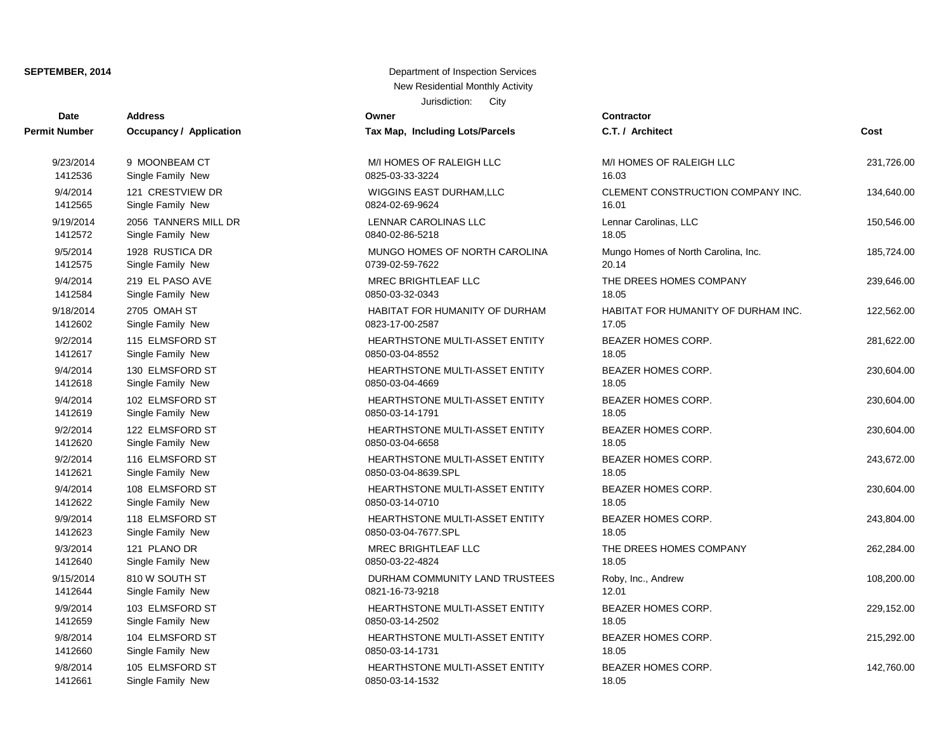| Date          | <b>Address</b>          | Owner                                 | Contractor       |
|---------------|-------------------------|---------------------------------------|------------------|
| Permit Number | Occupancy / Application | Tax Map, Including Lots/Parcels       | C.T. / Arch      |
| 9/23/2014     | 9 MOONBEAM CT           | M/I HOMES OF RALEIGH LLC              | M/I HOMES        |
| 1412536       | Single Family New       | 0825-03-33-3224                       | 16.03            |
| 9/4/2014      | 121 CRESTVIEW DR        | WIGGINS EAST DURHAM, LLC              | <b>CLEMENT</b>   |
| 1412565       | Single Family New       | 0824-02-69-9624                       | 16.01            |
| 9/19/2014     | 2056 TANNERS MILL DR    | LENNAR CAROLINAS LLC                  | Lennar Car       |
| 1412572       | Single Family New       | 0840-02-86-5218                       | 18.05            |
| 9/5/2014      | 1928 RUSTICA DR         | MUNGO HOMES OF NORTH CAROLINA         | Mungo Hon        |
| 1412575       | Single Family New       | 0739-02-59-7622                       | 20.14            |
| 9/4/2014      | 219 EL PASO AVE         | <b>MREC BRIGHTLEAF LLC</b>            | THE DREE         |
| 1412584       | Single Family New       | 0850-03-32-0343                       | 18.05            |
| 9/18/2014     | 2705 OMAH ST            | <b>HABITAT FOR HUMANITY OF DURHAM</b> | <b>HABITAT F</b> |
| 1412602       | Single Family New       | 0823-17-00-2587                       | 17.05            |
| 9/2/2014      | 115 ELMSFORD ST         | HEARTHSTONE MULTI-ASSET ENTITY        | <b>BEAZER H</b>  |
| 1412617       | Single Family New       | 0850-03-04-8552                       | 18.05            |
| 9/4/2014      | 130 ELMSFORD ST         | <b>HEARTHSTONE MULTI-ASSET ENTITY</b> | <b>BEAZER H</b>  |
| 1412618       | Single Family New       | 0850-03-04-4669                       | 18.05            |
| 9/4/2014      | 102 ELMSFORD ST         | HEARTHSTONE MULTI-ASSET ENTITY        | <b>BEAZER H</b>  |
| 1412619       | Single Family New       | 0850-03-14-1791                       | 18.05            |
| 9/2/2014      | 122 ELMSFORD ST         | HEARTHSTONE MULTI-ASSET ENTITY        | <b>BEAZER H</b>  |
| 1412620       | Single Family New       | 0850-03-04-6658                       | 18.05            |
| 9/2/2014      | 116 ELMSFORD ST         | <b>HEARTHSTONE MULTI-ASSET ENTITY</b> | <b>BEAZER H</b>  |
| 1412621       | Single Family New       | 0850-03-04-8639.SPL                   | 18.05            |
| 9/4/2014      | 108 ELMSFORD ST         | HEARTHSTONE MULTI-ASSET ENTITY        | <b>BEAZER H</b>  |
| 1412622       | Single Family New       | 0850-03-14-0710                       | 18.05            |
| 9/9/2014      | 118 ELMSFORD ST         | HEARTHSTONE MULTI-ASSET ENTITY        | <b>BEAZER H</b>  |
| 1412623       | Single Family New       | 0850-03-04-7677.SPL                   | 18.05            |
| 9/3/2014      | 121 PLANO DR            | <b>MREC BRIGHTLEAF LLC</b>            | THE DREE         |
| 1412640       | Single Family New       | 0850-03-22-4824                       | 18.05            |
| 9/15/2014     | 810 W SOUTH ST          | DURHAM COMMUNITY LAND TRUSTEES        | Roby, Inc.,      |
| 1412644       | Single Family New       | 0821-16-73-9218                       | 12.01            |
| 9/9/2014      | 103 ELMSFORD ST         | HEARTHSTONE MULTI-ASSET ENTITY        | <b>BEAZER H</b>  |
| 1412659       | Single Family New       | 0850-03-14-2502                       | 18.05            |
| 9/8/2014      | 104 ELMSFORD ST         | HEARTHSTONE MULTI-ASSET ENTITY        | <b>BEAZER H</b>  |
| 1412660       | Single Family New       | 0850-03-14-1731                       | 18.05            |
| 9/8/2014      | 105 ELMSFORD ST         | HEARTHSTONE MULTI-ASSET ENTITY        | <b>BEAZER H</b>  |
| 1412661       | Single Family New       | 0850-03-14-1532                       | 18.05            |

| <b>Tax Map, Including Lots/Parcels</b>                       |
|--------------------------------------------------------------|
| M/I HOMES OF RALEIGH LLC<br>0825-03-33-3224                  |
| WIGGINS EAST DURHAM,LLC<br>0824-02-69-9624                   |
| LENNAR CAROLINAS LLC<br>0840-02-86-5218                      |
| MUNGO HOMES OF NORTH CAROLINA<br>0739-02-59-7622             |
| <b>MREC BRIGHTLEAF LLC</b><br>0850-03-32-0343                |
| HABITAT FOR HUMANITY OF DURHAM<br>0823-17-00-2587            |
| HEARTHSTONE MULTI-ASSET ENTITY<br>0850-03-04-8552            |
| <b>HEARTHSTONE MULTI-ASSET ENTITY</b><br>0850-03-04-4669     |
| <b>HEARTHSTONE MULTI-ASSET ENTITY</b><br>0850-03-14-1791     |
| HEARTHSTONE MULTI-ASSET ENTITY<br>0850-03-04-6658            |
| <b>HEARTHSTONE MULTI-ASSET ENTITY</b><br>0850-03-04-8639.SPL |
| <b>HEARTHSTONE MULTI-ASSET ENTITY</b><br>0850-03-14-0710     |
| HEARTHSTONE MULTI-ASSET ENTITY<br>0850-03-04-7677.SPL        |
| <b>MREC BRIGHTLEAF LLC</b><br>0850-03-22-4824                |
| DURHAM COMMUNITY LAND TRUSTEES<br>0821-16-73-9218            |
| HEARTHSTONE MULTI-ASSET ENTITY<br>0850-03-14-2502            |
| <b>HEARTHSTONE MULTI-ASSET ENTITY</b><br>0850-03-14-1731     |
| <b>HEARTHSTONE MULTI-ASSET ENTITY</b>                        |

| t Number  | <b>Occupancy / Application</b> | Tax Map, Including Lots/Parcels       | C.T. / Architect                    | Cost       |
|-----------|--------------------------------|---------------------------------------|-------------------------------------|------------|
| 9/23/2014 | 9 MOONBEAM CT                  | M/I HOMES OF RALEIGH LLC              | M/I HOMES OF RALEIGH LLC            | 231,726.00 |
| 1412536   | Single Family New              | 0825-03-33-3224                       | 16.03                               |            |
| 9/4/2014  | 121 CRESTVIEW DR               | WIGGINS EAST DURHAM, LLC              | CLEMENT CONSTRUCTION COMPANY INC.   | 134,640.00 |
| 1412565   | Single Family New              | 0824-02-69-9624                       | 16.01                               |            |
| 9/19/2014 | 2056 TANNERS MILL DR           | LENNAR CAROLINAS LLC                  | Lennar Carolinas, LLC               | 150,546.00 |
| 1412572   | Single Family New              | 0840-02-86-5218                       | 18.05                               |            |
| 9/5/2014  | 1928 RUSTICA DR                | MUNGO HOMES OF NORTH CAROLINA         | Mungo Homes of North Carolina, Inc. | 185,724.00 |
| 1412575   | Single Family New              | 0739-02-59-7622                       | 20.14                               |            |
| 9/4/2014  | 219 EL PASO AVE                | <b>MREC BRIGHTLEAF LLC</b>            | THE DREES HOMES COMPANY             | 239,646.00 |
| 1412584   | Single Family New              | 0850-03-32-0343                       | 18.05                               |            |
| 9/18/2014 | 2705 OMAH ST                   | <b>HABITAT FOR HUMANITY OF DURHAM</b> | HABITAT FOR HUMANITY OF DURHAM INC. | 122,562.00 |
| 1412602   | Single Family New              | 0823-17-00-2587                       | 17.05                               |            |
| 9/2/2014  | 115 ELMSFORD ST                | HEARTHSTONE MULTI-ASSET ENTITY        | BEAZER HOMES CORP.                  | 281,622.00 |
| 1412617   | Single Family New              | 0850-03-04-8552                       | 18.05                               |            |
| 9/4/2014  | 130 ELMSFORD ST                | HEARTHSTONE MULTI-ASSET ENTITY        | <b>BEAZER HOMES CORP.</b>           | 230,604.00 |
| 1412618   | Single Family New              | 0850-03-04-4669                       | 18.05                               |            |
| 9/4/2014  | 102 ELMSFORD ST                | HEARTHSTONE MULTI-ASSET ENTITY        | BEAZER HOMES CORP.                  | 230,604.00 |
| 1412619   | Single Family New              | 0850-03-14-1791                       | 18.05                               |            |
| 9/2/2014  | 122 ELMSFORD ST                | HEARTHSTONE MULTI-ASSET ENTITY        | <b>BEAZER HOMES CORP.</b>           | 230,604.00 |
| 1412620   | Single Family New              | 0850-03-04-6658                       | 18.05                               |            |
| 9/2/2014  | 116 ELMSFORD ST                | HEARTHSTONE MULTI-ASSET ENTITY        | BEAZER HOMES CORP.                  | 243,672.00 |
| 1412621   | Single Family New              | 0850-03-04-8639.SPL                   | 18.05                               |            |
| 9/4/2014  | 108 ELMSFORD ST                | HEARTHSTONE MULTI-ASSET ENTITY        | BEAZER HOMES CORP.                  | 230,604.00 |
| 1412622   | Single Family New              | 0850-03-14-0710                       | 18.05                               |            |
| 9/9/2014  | 118 ELMSFORD ST                | HEARTHSTONE MULTI-ASSET ENTITY        | BEAZER HOMES CORP.                  | 243,804.00 |
| 1412623   | Single Family New              | 0850-03-04-7677.SPL                   | 18.05                               |            |
| 9/3/2014  | 121 PLANO DR                   | MREC BRIGHTLEAF LLC                   | THE DREES HOMES COMPANY             | 262,284.00 |
| 1412640   | Single Family New              | 0850-03-22-4824                       | 18.05                               |            |
| 9/15/2014 | 810 W SOUTH ST                 | DURHAM COMMUNITY LAND TRUSTEES        | Roby, Inc., Andrew                  | 108,200.00 |
| 1412644   | Single Family New              | 0821-16-73-9218                       | 12.01                               |            |
| 9/9/2014  | 103 ELMSFORD ST                | HEARTHSTONE MULTI-ASSET ENTITY        | BEAZER HOMES CORP.                  | 229,152.00 |
| 1412659   | Single Family New              | 0850-03-14-2502                       | 18.05                               |            |
| 9/8/2014  | 104 ELMSFORD ST                | HEARTHSTONE MULTI-ASSET ENTITY        | BEAZER HOMES CORP.                  | 215,292.00 |
| 1412660   | Single Family New              | 0850-03-14-1731                       | 18.05                               |            |
| 9/8/2014  | 105 ELMSFORD ST                | HEARTHSTONE MULTI-ASSET ENTITY        | <b>BEAZER HOMES CORP.</b>           | 142,760.00 |
| 1112661   | Single Family Now              | 0250 02 14 1522                       | 19 O.F.                             |            |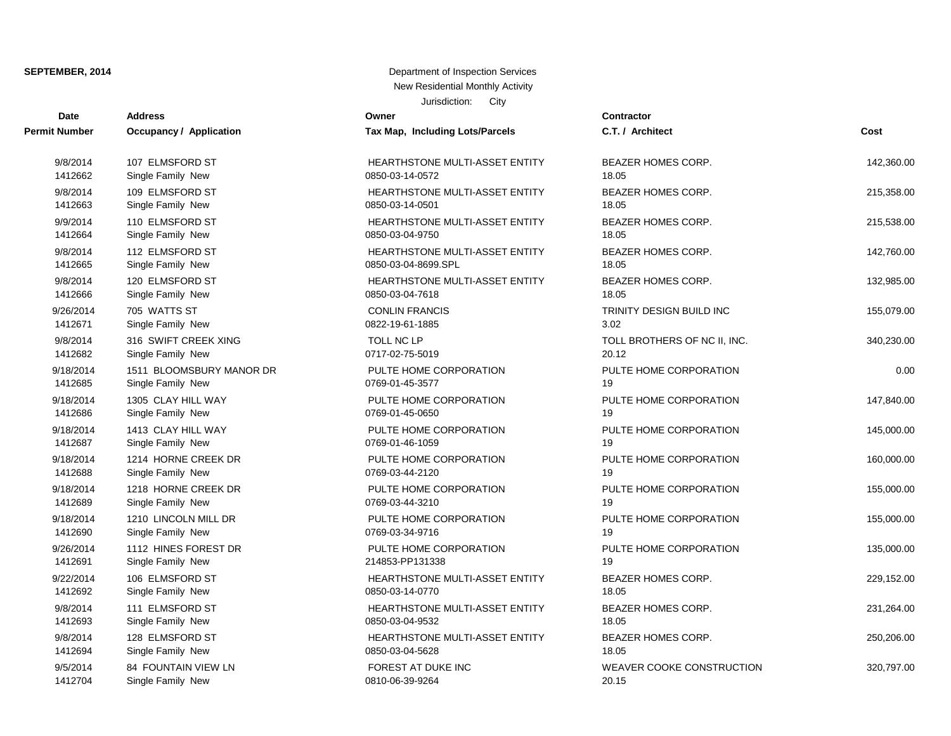| Date          | <b>Address</b>           | Owner                                 | <b>Contractor</b>                |            |
|---------------|--------------------------|---------------------------------------|----------------------------------|------------|
| Permit Number | Occupancy / Application  | Tax Map, Including Lots/Parcels       | C.T. / Architect                 | Cost       |
| 9/8/2014      | 107 ELMSFORD ST          | HEARTHSTONE MULTI-ASSET ENTITY        | BEAZER HOMES CORP.               | 142,360.00 |
| 1412662       | Single Family New        | 0850-03-14-0572                       | 18.05                            |            |
| 9/8/2014      | 109 ELMSFORD ST          | <b>HEARTHSTONE MULTI-ASSET ENTITY</b> | <b>BEAZER HOMES CORP.</b>        | 215,358.00 |
| 1412663       | Single Family New        | 0850-03-14-0501                       | 18.05                            |            |
| 9/9/2014      | 110 ELMSFORD ST          | HEARTHSTONE MULTI-ASSET ENTITY        | BEAZER HOMES CORP.               | 215,538.00 |
| 1412664       | Single Family New        | 0850-03-04-9750                       | 18.05                            |            |
| 9/8/2014      | 112 ELMSFORD ST          | HEARTHSTONE MULTI-ASSET ENTITY        | BEAZER HOMES CORP.               | 142,760.00 |
| 1412665       | Single Family New        | 0850-03-04-8699.SPL                   | 18.05                            |            |
| 9/8/2014      | 120 ELMSFORD ST          | <b>HEARTHSTONE MULTI-ASSET ENTITY</b> | <b>BEAZER HOMES CORP.</b>        | 132,985.00 |
| 1412666       | Single Family New        | 0850-03-04-7618                       | 18.05                            |            |
| 9/26/2014     | 705 WATTS ST             | <b>CONLIN FRANCIS</b>                 | TRINITY DESIGN BUILD INC         | 155,079.00 |
| 1412671       | Single Family New        | 0822-19-61-1885                       | 3.02                             |            |
| 9/8/2014      | 316 SWIFT CREEK XING     | TOLL NC LP                            | TOLL BROTHERS OF NC II, INC.     | 340,230.00 |
| 1412682       | Single Family New        | 0717-02-75-5019                       | 20.12                            |            |
| 9/18/2014     | 1511 BLOOMSBURY MANOR DR | PULTE HOME CORPORATION                | PULTE HOME CORPORATION           | 0.00       |
| 1412685       | Single Family New        | 0769-01-45-3577                       | 19                               |            |
| 9/18/2014     | 1305 CLAY HILL WAY       | PULTE HOME CORPORATION                | PULTE HOME CORPORATION           | 147,840.00 |
| 1412686       | Single Family New        | 0769-01-45-0650                       | 19                               |            |
| 9/18/2014     | 1413 CLAY HILL WAY       | PULTE HOME CORPORATION                | PULTE HOME CORPORATION           | 145,000.00 |
| 1412687       | Single Family New        | 0769-01-46-1059                       | 19                               |            |
| 9/18/2014     | 1214 HORNE CREEK DR      | PULTE HOME CORPORATION                | PULTE HOME CORPORATION           | 160,000.00 |
| 1412688       | Single Family New        | 0769-03-44-2120                       | 19                               |            |
| 9/18/2014     | 1218 HORNE CREEK DR      | PULTE HOME CORPORATION                | PULTE HOME CORPORATION           | 155,000.00 |
| 1412689       | Single Family New        | 0769-03-44-3210                       | 19                               |            |
| 9/18/2014     | 1210 LINCOLN MILL DR     | PULTE HOME CORPORATION                | PULTE HOME CORPORATION           | 155,000.00 |
| 1412690       | Single Family New        | 0769-03-34-9716                       | 19                               |            |
| 9/26/2014     | 1112 HINES FOREST DR     | PULTE HOME CORPORATION                | PULTE HOME CORPORATION           | 135,000.00 |
| 1412691       | Single Family New        | 214853-PP131338                       | 19                               |            |
| 9/22/2014     | 106 ELMSFORD ST          | HEARTHSTONE MULTI-ASSET ENTITY        | <b>BEAZER HOMES CORP.</b>        | 229,152.00 |
| 1412692       | Single Family New        | 0850-03-14-0770                       | 18.05                            |            |
| 9/8/2014      | 111 ELMSFORD ST          | HEARTHSTONE MULTI-ASSET ENTITY        | BEAZER HOMES CORP.               | 231,264.00 |
| 1412693       | Single Family New        | 0850-03-04-9532                       | 18.05                            |            |
| 9/8/2014      | 128 ELMSFORD ST          | HEARTHSTONE MULTI-ASSET ENTITY        | BEAZER HOMES CORP.               | 250,206.00 |
| 1412694       | Single Family New        | 0850-03-04-5628                       | 18.05                            |            |
| 9/5/2014      | 84 FOUNTAIN VIEW LN      | FOREST AT DUKE INC                    | <b>WEAVER COOKE CONSTRUCTION</b> | 320,797.00 |
| 1412704       | Single Family New        | 0810-06-39-9264                       | 20.15                            |            |

| C.T. / Architect                      | Cost       |
|---------------------------------------|------------|
| BEAZER HOMES CORP.<br>18.05           | 142,360.00 |
| BEAZER HOMES CORP.<br>18.05           | 215,358.00 |
| BEAZER HOMES CORP.<br>18.05           | 215,538.00 |
| BEAZER HOMES CORP.<br>18.05           | 142,760.00 |
| BEAZER HOMES CORP.<br>18.05           | 132,985.00 |
| TRINITY DESIGN BUILD INC<br>3.02      | 155,079.00 |
| TOLL BROTHERS OF NC II, INC.<br>20.12 | 340,230.00 |
| PULTE HOME CORPORATION<br>19          | 0.00       |
| PULTE HOME CORPORATION<br>19          | 147,840.00 |
| PULTE HOME CORPORATION<br>19          | 145,000.00 |
| PULTE HOME CORPORATION<br>19          | 160,000.00 |
| PULTE HOME CORPORATION<br>19          | 155,000.00 |
| PULTE HOME CORPORATION<br>19          | 155,000.00 |
| PULTE HOME CORPORATION<br>19          | 135,000.00 |
| BEAZER HOMES CORP.<br>18.05           | 229,152.00 |
| BEAZER HOMES CORP.<br>18.05           | 231,264.00 |
| BEAZER HOMES CORP.<br>18.05           | 250,206.00 |
| WEAVER COOKE CONSTRUCTION<br>0015     | 320,797.00 |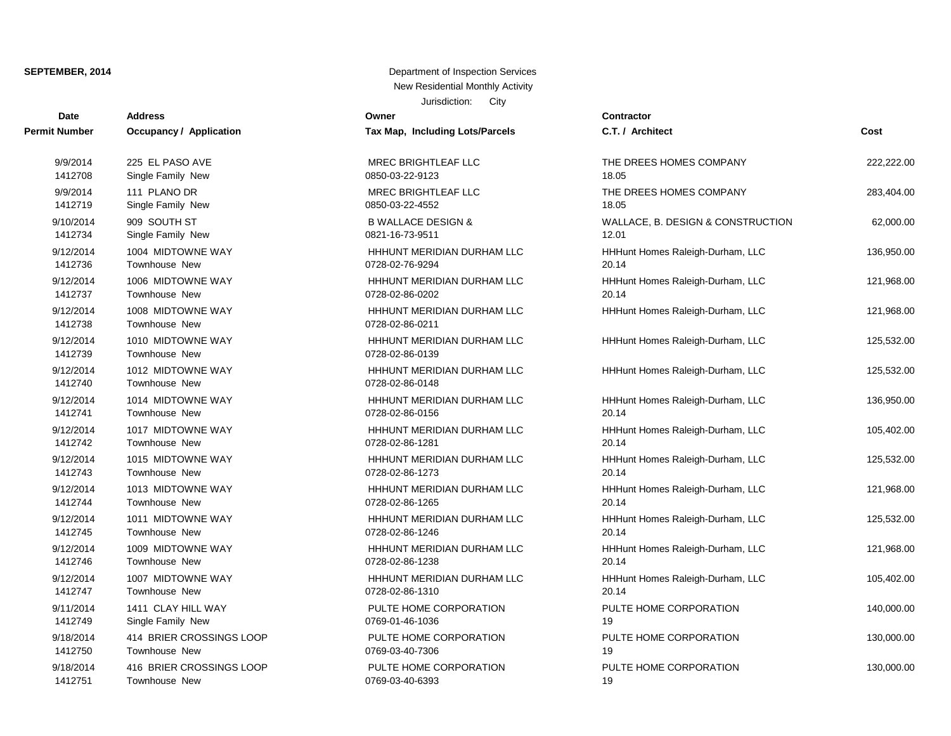| <b>Date</b>   | <b>Address</b>                 | Owner                           | Contractor       |
|---------------|--------------------------------|---------------------------------|------------------|
| Permit Number | <b>Occupancy / Application</b> | Tax Map, Including Lots/Parcels | C.T. / Arch      |
| 9/9/2014      | 225 EL PASO AVE                | MREC BRIGHTLEAF LLC             | THE DREE         |
| 1412708       | Single Family New              | 0850-03-22-9123                 | 18.05            |
| 9/9/2014      | 111 PLANO DR                   | MREC BRIGHTLEAF LLC             | THE DREE         |
| 1412719       | Single Family New              | 0850-03-22-4552                 | 18.05            |
| 9/10/2014     | 909 SOUTH ST                   | <b>B WALLACE DESIGN &amp;</b>   | WALLACE.         |
| 1412734       | Single Family New              | 0821-16-73-9511                 | 12.01            |
| 9/12/2014     | 1004 MIDTOWNE WAY              | HHHUNT MERIDIAN DURHAM LLC      | <b>HHHunt Ho</b> |
| 1412736       | Townhouse New                  | 0728-02-76-9294                 | 20.14            |
| 9/12/2014     | 1006 MIDTOWNE WAY              | HHHUNT MERIDIAN DURHAM LLC      | <b>HHHunt Ho</b> |
| 1412737       | Townhouse New                  | 0728-02-86-0202                 | 20.14            |
| 9/12/2014     | 1008 MIDTOWNE WAY              | HHHUNT MERIDIAN DURHAM LLC      | <b>HHHunt Ho</b> |
| 1412738       | Townhouse New                  | 0728-02-86-0211                 |                  |
| 9/12/2014     | 1010 MIDTOWNE WAY              | HHHUNT MERIDIAN DURHAM LLC      | <b>HHHunt Ho</b> |
| 1412739       | <b>Townhouse New</b>           | 0728-02-86-0139                 |                  |
| 9/12/2014     | 1012 MIDTOWNE WAY              | HHHUNT MERIDIAN DURHAM LLC      | <b>HHHunt Ho</b> |
| 1412740       | Townhouse New                  | 0728-02-86-0148                 |                  |
| 9/12/2014     | 1014 MIDTOWNE WAY              | HHHUNT MERIDIAN DURHAM LLC      | <b>HHHunt Ho</b> |
| 1412741       | Townhouse New                  | 0728-02-86-0156                 | 20.14            |
| 9/12/2014     | 1017 MIDTOWNE WAY              | HHHUNT MERIDIAN DURHAM LLC      | <b>HHHunt Ho</b> |
| 1412742       | <b>Townhouse New</b>           | 0728-02-86-1281                 | 20.14            |
| 9/12/2014     | 1015 MIDTOWNE WAY              | HHHUNT MERIDIAN DURHAM LLC      | <b>HHHunt Ho</b> |
| 1412743       | Townhouse New                  | 0728-02-86-1273                 | 20.14            |
| 9/12/2014     | 1013 MIDTOWNE WAY              | HHHUNT MERIDIAN DURHAM LLC      | <b>HHHunt Ho</b> |
| 1412744       | Townhouse New                  | 0728-02-86-1265                 | 20.14            |
| 9/12/2014     | 1011 MIDTOWNE WAY              | HHHUNT MERIDIAN DURHAM LLC      | <b>HHHunt Ho</b> |
| 1412745       | Townhouse New                  | 0728-02-86-1246                 | 20.14            |
| 9/12/2014     | 1009 MIDTOWNE WAY              | HHHUNT MERIDIAN DURHAM LLC      | <b>HHHunt Ho</b> |
| 1412746       | Townhouse New                  | 0728-02-86-1238                 | 20.14            |
| 9/12/2014     | 1007 MIDTOWNE WAY              | HHHUNT MERIDIAN DURHAM LLC      | <b>HHHunt Ho</b> |
| 1412747       | Townhouse New                  | 0728-02-86-1310                 | 20.14            |
| 9/11/2014     | 1411 CLAY HILL WAY             | PULTE HOME CORPORATION          | PULTE HO         |
| 1412749       | Single Family New              | 0769-01-46-1036                 | 19               |
| 9/18/2014     | 414 BRIER CROSSINGS LOOP       | PULTE HOME CORPORATION          | PULTE HO         |
| 1412750       | Townhouse New                  | 0769-03-40-7306                 | 19               |
| 9/18/2014     | 416 BRIER CROSSINGS LOOP       | PULTE HOME CORPORATION          | PULTE HO         |
| 1412751       | <b>Townhouse New</b>           | 0769-03-40-6393                 | 19               |

| C.T. / Architect                           | Cost       |
|--------------------------------------------|------------|
| THE DREES HOMES COMPANY<br>18.05           | 222,222.00 |
| THE DREES HOMES COMPANY<br>18.05           | 283,404.00 |
| WALLACE, B. DESIGN & CONSTRUCTION<br>12.01 | 62,000.00  |
| HHHunt Homes Raleigh-Durham, LLC<br>20.14  | 136,950.00 |
| HHHunt Homes Raleigh-Durham, LLC<br>20.14  | 121,968.00 |
| HHHunt Homes Raleigh-Durham, LLC           | 121,968.00 |
| HHHunt Homes Raleigh-Durham, LLC           | 125,532.00 |
| HHHunt Homes Raleigh-Durham, LLC           | 125,532.00 |
| HHHunt Homes Raleigh-Durham, LLC<br>20.14  | 136,950.00 |
| HHHunt Homes Raleigh-Durham, LLC<br>20.14  | 105,402.00 |
| HHHunt Homes Raleigh-Durham, LLC<br>20.14  | 125,532.00 |
| HHHunt Homes Raleigh-Durham, LLC<br>20.14  | 121,968.00 |
| HHHunt Homes Raleigh-Durham, LLC<br>20.14  | 125,532.00 |
| HHHunt Homes Raleigh-Durham, LLC<br>20.14  | 121,968.00 |
| HHHunt Homes Raleigh-Durham, LLC<br>20.14  | 105,402.00 |
| PULTE HOME CORPORATION<br>19               | 140,000.00 |
| PULTE HOME CORPORATION<br>19               | 130,000.00 |
| PULTE HOME CORPORATION<br>19               | 130,000.00 |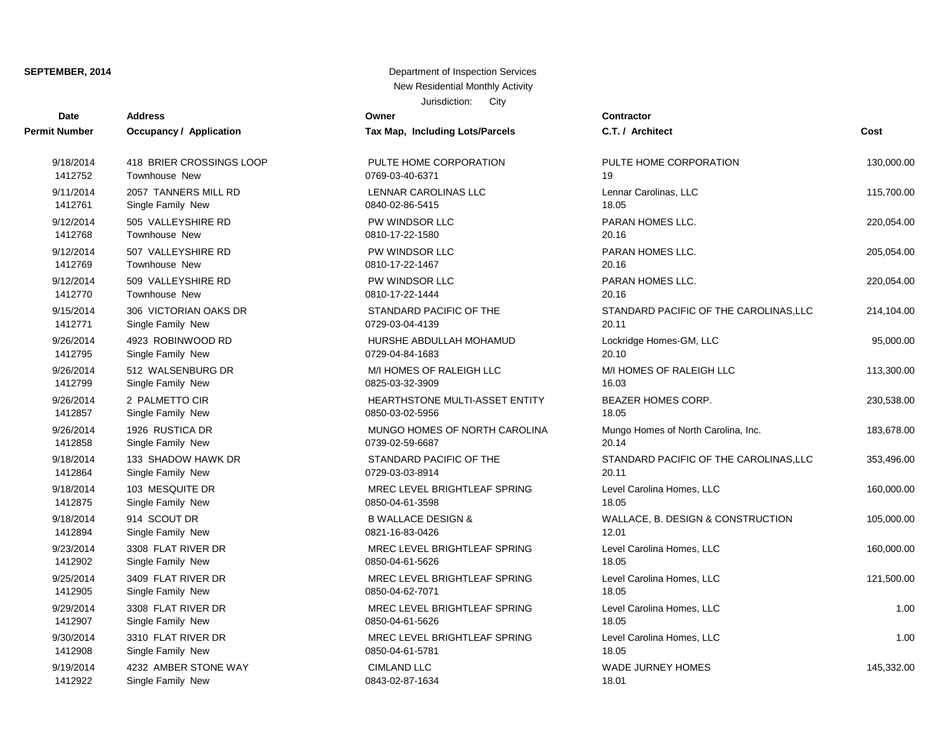| Date                 | <b>Address</b>                 | Owner                                 | <b>Contractor</b>                      |            |
|----------------------|--------------------------------|---------------------------------------|----------------------------------------|------------|
| <b>Permit Number</b> | <b>Occupancy / Application</b> | Tax Map, Including Lots/Parcels       | C.T. / Architect                       | Cost       |
| 9/18/2014            | 418 BRIER CROSSINGS LOOP       | PULTE HOME CORPORATION                | PULTE HOME CORPORATION                 | 130,000.00 |
| 1412752              | Townhouse New                  | 0769-03-40-6371                       | 19                                     |            |
| 9/11/2014            | 2057 TANNERS MILL RD           | LENNAR CAROLINAS LLC                  | Lennar Carolinas, LLC                  | 115,700.00 |
| 1412761              | Single Family New              | 0840-02-86-5415                       | 18.05                                  |            |
| 9/12/2014            | 505 VALLEYSHIRE RD             | PW WINDSOR LLC                        | PARAN HOMES LLC.                       | 220,054.00 |
| 1412768              | Townhouse New                  | 0810-17-22-1580                       | 20.16                                  |            |
| 9/12/2014            | 507 VALLEYSHIRE RD             | PW WINDSOR LLC                        | PARAN HOMES LLC.                       | 205,054.00 |
| 1412769              | Townhouse New                  | 0810-17-22-1467                       | 20.16                                  |            |
| 9/12/2014            | 509 VALLEYSHIRE RD             | PW WINDSOR LLC                        | PARAN HOMES LLC.                       | 220,054.00 |
| 1412770              | Townhouse New                  | 0810-17-22-1444                       | 20.16                                  |            |
| 9/15/2014            | 306 VICTORIAN OAKS DR          | STANDARD PACIFIC OF THE               | STANDARD PACIFIC OF THE CAROLINAS, LLC | 214,104.00 |
| 1412771              | Single Family New              | 0729-03-04-4139                       | 20.11                                  |            |
| 9/26/2014            | 4923 ROBINWOOD RD              | HURSHE ABDULLAH MOHAMUD               | Lockridge Homes-GM, LLC                | 95,000.00  |
| 1412795              | Single Family New              | 0729-04-84-1683                       | 20.10                                  |            |
| 9/26/2014            | 512 WALSENBURG DR              | M/I HOMES OF RALEIGH LLC              | M/I HOMES OF RALEIGH LLC               | 113,300.00 |
| 1412799              | Single Family New              | 0825-03-32-3909                       | 16.03                                  |            |
| 9/26/2014            | 2 PALMETTO CIR                 | <b>HEARTHSTONE MULTI-ASSET ENTITY</b> | <b>BEAZER HOMES CORP.</b>              | 230,538.00 |
| 1412857              | Single Family New              | 0850-03-02-5956                       | 18.05                                  |            |
| 9/26/2014            | 1926 RUSTICA DR                | MUNGO HOMES OF NORTH CAROLINA         | Mungo Homes of North Carolina, Inc.    | 183,678.00 |
| 1412858              | Single Family New              | 0739-02-59-6687                       | 20.14                                  |            |
| 9/18/2014            | 133 SHADOW HAWK DR             | STANDARD PACIFIC OF THE               | STANDARD PACIFIC OF THE CAROLINAS, LLC | 353,496.00 |
| 1412864              | Single Family New              | 0729-03-03-8914                       | 20.11                                  |            |
| 9/18/2014            | 103 MESQUITE DR                | MREC LEVEL BRIGHTLEAF SPRING          | Level Carolina Homes, LLC              | 160,000.00 |
| 1412875              | Single Family New              | 0850-04-61-3598                       | 18.05                                  |            |
| 9/18/2014            | 914 SCOUT DR                   | <b>B WALLACE DESIGN &amp;</b>         | WALLACE, B. DESIGN & CONSTRUCTION      | 105,000.00 |
| 1412894              | Single Family New              | 0821-16-83-0426                       | 12.01                                  |            |
| 9/23/2014            | 3308 FLAT RIVER DR             | MREC LEVEL BRIGHTLEAF SPRING          | Level Carolina Homes, LLC              | 160,000.00 |
| 1412902              | Single Family New              | 0850-04-61-5626                       | 18.05                                  |            |
| 9/25/2014            | 3409 FLAT RIVER DR             | MREC LEVEL BRIGHTLEAF SPRING          | Level Carolina Homes, LLC              | 121,500.00 |
| 1412905              | Single Family New              | 0850-04-62-7071                       | 18.05                                  |            |
| 9/29/2014            | 3308 FLAT RIVER DR             | MREC LEVEL BRIGHTLEAF SPRING          | Level Carolina Homes, LLC              | 1.00       |
| 1412907              | Single Family New              | 0850-04-61-5626                       | 18.05                                  |            |
| 9/30/2014            | 3310 FLAT RIVER DR             | MREC LEVEL BRIGHTLEAF SPRING          | Level Carolina Homes, LLC              | 1.00       |
| 1412908              | Single Family New              | 0850-04-61-5781                       | 18.05                                  |            |
| 9/19/2014            | 4232 AMBER STONE WAY           | <b>CIMLAND LLC</b>                    | <b>WADE JURNEY HOMES</b>               | 145,332.00 |
| 1412922              | Single Family New              | 0843-02-87-1634                       | 18.01                                  |            |